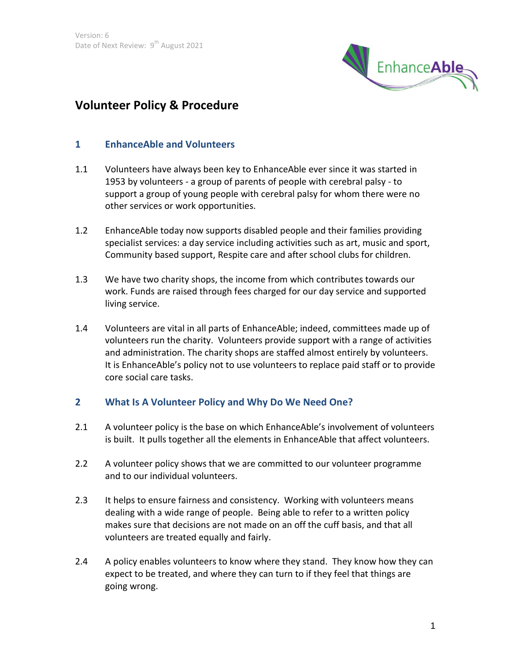

# **Volunteer Policy & Procedure**

#### **1 EnhanceAble and Volunteers**

- 1.1 Volunteers have always been key to EnhanceAble ever since it was started in 1953 by volunteers - a group of parents of people with cerebral palsy - to support a group of young people with cerebral palsy for whom there were no other services or work opportunities.
- 1.2 EnhanceAble today now supports disabled people and their families providing specialist services: a day service including activities such as art, music and sport, Community based support, Respite care and after school clubs for children.
- 1.3 We have two charity shops, the income from which contributes towards our work. Funds are raised through fees charged for our day service and supported living service.
- 1.4 Volunteers are vital in all parts of EnhanceAble; indeed, committees made up of volunteers run the charity. Volunteers provide support with a range of activities and administration. The charity shops are staffed almost entirely by volunteers. It is EnhanceAble's policy not to use volunteers to replace paid staff or to provide core social care tasks.

#### **2 What Is A Volunteer Policy and Why Do We Need One?**

- 2.1 A volunteer policy is the base on which EnhanceAble's involvement of volunteers is built. It pulls together all the elements in EnhanceAble that affect volunteers.
- 2.2 A volunteer policy shows that we are committed to our volunteer programme and to our individual volunteers.
- 2.3 It helps to ensure fairness and consistency. Working with volunteers means dealing with a wide range of people. Being able to refer to a written policy makes sure that decisions are not made on an off the cuff basis, and that all volunteers are treated equally and fairly.
- 2.4 A policy enables volunteers to know where they stand. They know how they can expect to be treated, and where they can turn to if they feel that things are going wrong.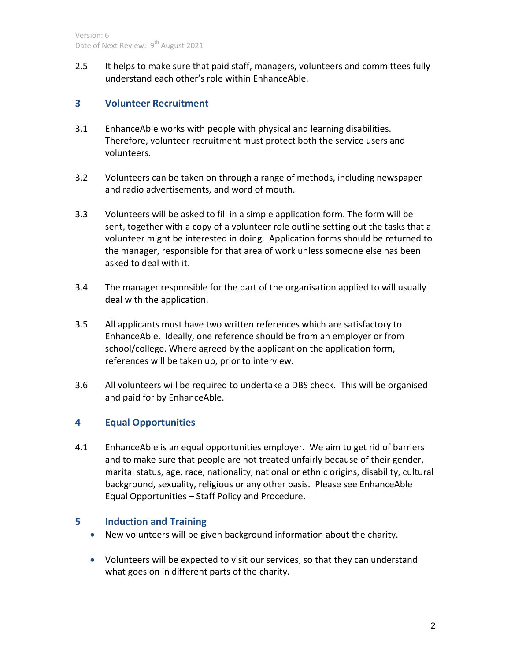2.5 It helps to make sure that paid staff, managers, volunteers and committees fully understand each other's role within EnhanceAble.

# **3 Volunteer Recruitment**

- 3.1 EnhanceAble works with people with physical and learning disabilities. Therefore, volunteer recruitment must protect both the service users and volunteers.
- 3.2 Volunteers can be taken on through a range of methods, including newspaper and radio advertisements, and word of mouth.
- 3.3 Volunteers will be asked to fill in a simple application form. The form will be sent, together with a copy of a volunteer role outline setting out the tasks that a volunteer might be interested in doing. Application forms should be returned to the manager, responsible for that area of work unless someone else has been asked to deal with it.
- 3.4 The manager responsible for the part of the organisation applied to will usually deal with the application.
- 3.5 All applicants must have two written references which are satisfactory to EnhanceAble. Ideally, one reference should be from an employer or from school/college. Where agreed by the applicant on the application form, references will be taken up, prior to interview.
- 3.6 All volunteers will be required to undertake a DBS check. This will be organised and paid for by EnhanceAble.

# **4 Equal Opportunities**

4.1 EnhanceAble is an equal opportunities employer. We aim to get rid of barriers and to make sure that people are not treated unfairly because of their gender, marital status, age, race, nationality, national or ethnic origins, disability, cultural background, sexuality, religious or any other basis. Please see EnhanceAble Equal Opportunities – Staff Policy and Procedure.

# **5 Induction and Training**

- New volunteers will be given background information about the charity.
- Volunteers will be expected to visit our services, so that they can understand what goes on in different parts of the charity.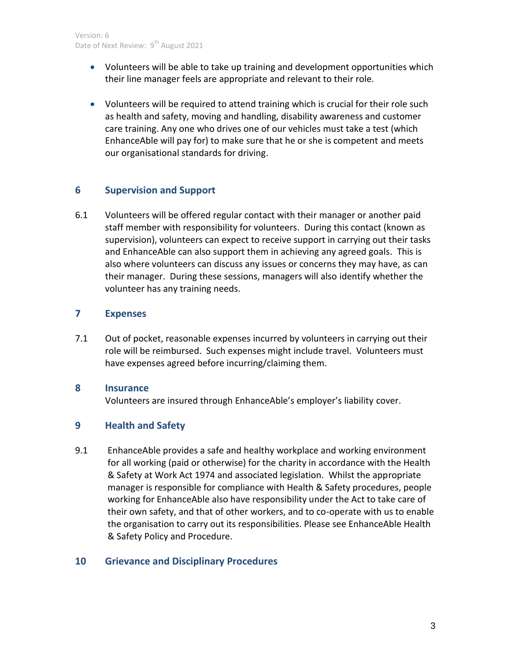- Volunteers will be able to take up training and development opportunities which their line manager feels are appropriate and relevant to their role.
- Volunteers will be required to attend training which is crucial for their role such as health and safety, moving and handling, disability awareness and customer care training. Any one who drives one of our vehicles must take a test (which EnhanceAble will pay for) to make sure that he or she is competent and meets our organisational standards for driving.

### **6 Supervision and Support**

6.1 Volunteers will be offered regular contact with their manager or another paid staff member with responsibility for volunteers. During this contact (known as supervision), volunteers can expect to receive support in carrying out their tasks and EnhanceAble can also support them in achieving any agreed goals. This is also where volunteers can discuss any issues or concerns they may have, as can their manager. During these sessions, managers will also identify whether the volunteer has any training needs.

#### **7 Expenses**

7.1 Out of pocket, reasonable expenses incurred by volunteers in carrying out their role will be reimbursed. Such expenses might include travel. Volunteers must have expenses agreed before incurring/claiming them.

### **8 Insurance**

Volunteers are insured through EnhanceAble's employer's liability cover.

# **9 Health and Safety**

9.1 EnhanceAble provides a safe and healthy workplace and working environment for all working (paid or otherwise) for the charity in accordance with the Health & Safety at Work Act 1974 and associated legislation. Whilst the appropriate manager is responsible for compliance with Health & Safety procedures, people working for EnhanceAble also have responsibility under the Act to take care of their own safety, and that of other workers, and to co-operate with us to enable the organisation to carry out its responsibilities. Please see EnhanceAble Health & Safety Policy and Procedure.

#### **10 Grievance and Disciplinary Procedures**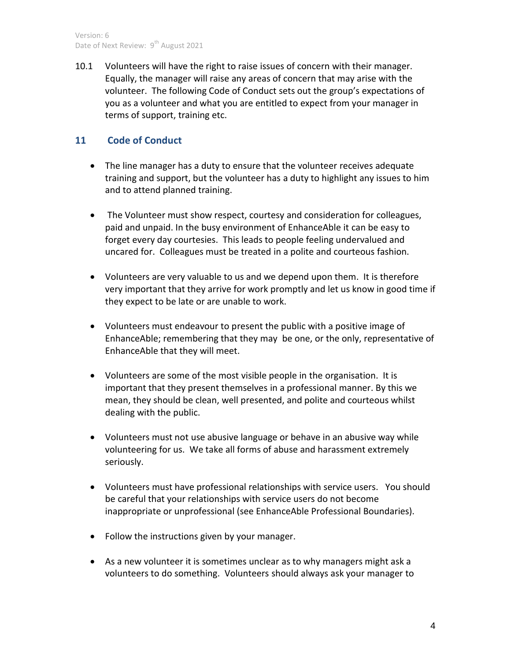10.1 Volunteers will have the right to raise issues of concern with their manager. Equally, the manager will raise any areas of concern that may arise with the volunteer. The following Code of Conduct sets out the group's expectations of you as a volunteer and what you are entitled to expect from your manager in terms of support, training etc.

## **11 Code of Conduct**

- The line manager has a duty to ensure that the volunteer receives adequate training and support, but the volunteer has a duty to highlight any issues to him and to attend planned training.
- The Volunteer must show respect, courtesy and consideration for colleagues, paid and unpaid. In the busy environment of EnhanceAble it can be easy to forget every day courtesies. This leads to people feeling undervalued and uncared for. Colleagues must be treated in a polite and courteous fashion.
- Volunteers are very valuable to us and we depend upon them. It is therefore very important that they arrive for work promptly and let us know in good time if they expect to be late or are unable to work.
- Volunteers must endeavour to present the public with a positive image of EnhanceAble; remembering that they may be one, or the only, representative of EnhanceAble that they will meet.
- Volunteers are some of the most visible people in the organisation. It is important that they present themselves in a professional manner. By this we mean, they should be clean, well presented, and polite and courteous whilst dealing with the public.
- Volunteers must not use abusive language or behave in an abusive way while volunteering for us. We take all forms of abuse and harassment extremely seriously.
- Volunteers must have professional relationships with service users. You should be careful that your relationships with service users do not become inappropriate or unprofessional (see EnhanceAble Professional Boundaries).
- Follow the instructions given by your manager.
- As a new volunteer it is sometimes unclear as to why managers might ask a volunteers to do something. Volunteers should always ask your manager to